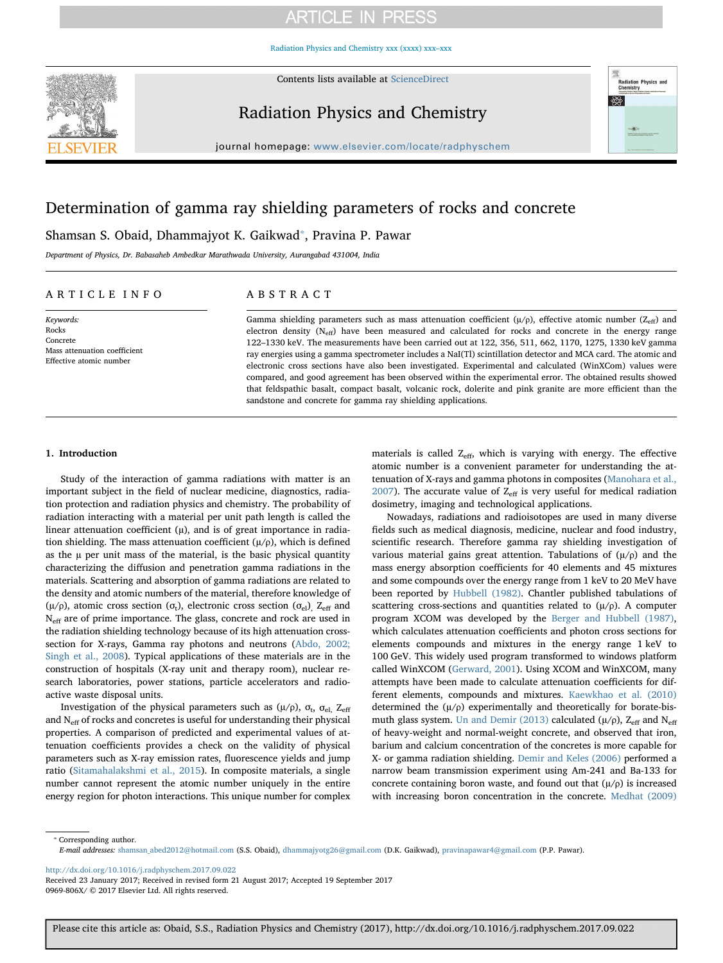## **ARTICLE IN PRESS**

[Radiation Physics and Chemistry xxx \(xxxx\) xxx–xxx](http://dx.doi.org/10.1016/j.radphyschem.2017.09.022)



Contents lists available at [ScienceDirect](http://www.sciencedirect.com/science/journal/0969806X)

### Radiation Physics and Chemistry



journal homepage: [www.elsevier.com/locate/radphyschem](https://www.elsevier.com/locate/radphyschem)

### Determination of gamma ray shielding parameters of rocks and concrete

Shamsan S. Obaid, Dhammajyot K. Gaikwad<sup>\*</sup>, Pravina P. Pawar

Department of Physics, Dr. Babasaheb Ambedkar Marathwada University, Aurangabad 431004, India

### ARTICLE INFO

Keywords: Rocks Concrete Mass attenuation coefficient Effective atomic number

### ABSTRACT

Gamma shielding parameters such as mass attenuation coefficient  $(\mu/\rho)$ , effective atomic number ( $Z_{\text{eff}}$ ) and electron density  $(N<sub>eff</sub>)$  have been measured and calculated for rocks and concrete in the energy range 122–1330 keV. The measurements have been carried out at 122, 356, 511, 662, 1170, 1275, 1330 keV gamma ray energies using a gamma spectrometer includes a NaI(Tl) scintillation detector and MCA card. The atomic and electronic cross sections have also been investigated. Experimental and calculated (WinXCom) values were compared, and good agreement has been observed within the experimental error. The obtained results showed that feldspathic basalt, compact basalt, volcanic rock, dolerite and pink granite are more efficient than the sandstone and concrete for gamma ray shielding applications.

### 1. Introduction

Study of the interaction of gamma radiations with matter is an important subject in the field of nuclear medicine, diagnostics, radiation protection and radiation physics and chemistry. The probability of radiation interacting with a material per unit path length is called the linear attenuation coefficient  $(u)$ , and is of great importance in radiation shielding. The mass attenuation coefficient  $(\mu/\rho)$ , which is defined as the  $\mu$  per unit mass of the material, is the basic physical quantity characterizing the diffusion and penetration gamma radiations in the materials. Scattering and absorption of gamma radiations are related to the density and atomic numbers of the material, therefore knowledge of ( $\mu$ /ρ), atomic cross section ( $\sigma_t$ ), electronic cross section ( $\sigma_{el}$ ), Z<sub>eff</sub> and N<sub>eff</sub> are of prime importance. The glass, concrete and rock are used in the radiation shielding technology because of its high attenuation crosssection for X-rays, Gamma ray photons and neutrons [\(Abdo, 2002;](#page--1-0) [Singh et al., 2008](#page--1-0)). Typical applications of these materials are in the construction of hospitals (X-ray unit and therapy room), nuclear research laboratories, power stations, particle accelerators and radioactive waste disposal units.

Investigation of the physical parameters such as (μ/ρ),  $\sigma_t$ ,  $\sigma_{el}$ ,  $Z_{eff}$ and  $N_{\text{eff}}$  of rocks and concretes is useful for understanding their physical properties. A comparison of predicted and experimental values of attenuation coefficients provides a check on the validity of physical parameters such as X-ray emission rates, fluorescence yields and jump ratio [\(Sitamahalakshmi et al., 2015\)](#page--1-1). In composite materials, a single number cannot represent the atomic number uniquely in the entire energy region for photon interactions. This unique number for complex

materials is called  $Z_{\text{eff}}$ , which is varying with energy. The effective atomic number is a convenient parameter for understanding the attenuation of X-rays and gamma photons in composites ([Manohara et al.,](#page--1-2) [2007\)](#page--1-2). The accurate value of  $Z_{\text{eff}}$  is very useful for medical radiation dosimetry, imaging and technological applications.

Nowadays, radiations and radioisotopes are used in many diverse fields such as medical diagnosis, medicine, nuclear and food industry, scientific research. Therefore gamma ray shielding investigation of various material gains great attention. Tabulations of  $(\mu/\rho)$  and the mass energy absorption coefficients for 40 elements and 45 mixtures and some compounds over the energy range from 1 keV to 20 MeV have been reported by [Hubbell \(1982\)](#page--1-3). Chantler published tabulations of scattering cross-sections and quantities related to  $(\mu/\rho)$ . A computer program XCOM was developed by the [Berger and Hubbell \(1987\)](#page--1-4), which calculates attenuation coefficients and photon cross sections for elements compounds and mixtures in the energy range 1 keV to 100 GeV. This widely used program transformed to windows platform called WinXCOM ([Gerward, 2001\)](#page--1-5). Using XCOM and WinXCOM, many attempts have been made to calculate attenuation coefficients for different elements, compounds and mixtures. [Kaewkhao et al. \(2010\)](#page--1-6) determined the  $(\mu/\rho)$  experimentally and theoretically for borate-bis-muth glass system. [Un and Demir \(2013\)](#page--1-7) calculated ( $\mu$ / $\rho$ ), Z<sub>eff</sub> and N<sub>eff</sub> of heavy-weight and normal-weight concrete, and observed that iron, barium and calcium concentration of the concretes is more capable for X- or gamma radiation shielding. [Demir and Keles \(2006\)](#page--1-8) performed a narrow beam transmission experiment using Am-241 and Ba-133 for concrete containing boron waste, and found out that  $(\mu/\rho)$  is increased with increasing boron concentration in the concrete. [Medhat \(2009\)](#page--1-9)

<span id="page-0-0"></span>⁎ Corresponding author.

<http://dx.doi.org/10.1016/j.radphyschem.2017.09.022>

E-mail addresses: [shamsan\\_abed2012@hotmail.com](mailto:shamsan_abed2012@hotmail.com) (S.S. Obaid), [dhammajyotg26@gmail.com](mailto:dhammajyotg26@gmail.com) (D.K. Gaikwad), [pravinapawar4@gmail.com](mailto:pravinapawar4@gmail.com) (P.P. Pawar).

Received 23 January 2017; Received in revised form 21 August 2017; Accepted 19 September 2017 0969-806X/ © 2017 Elsevier Ltd. All rights reserved.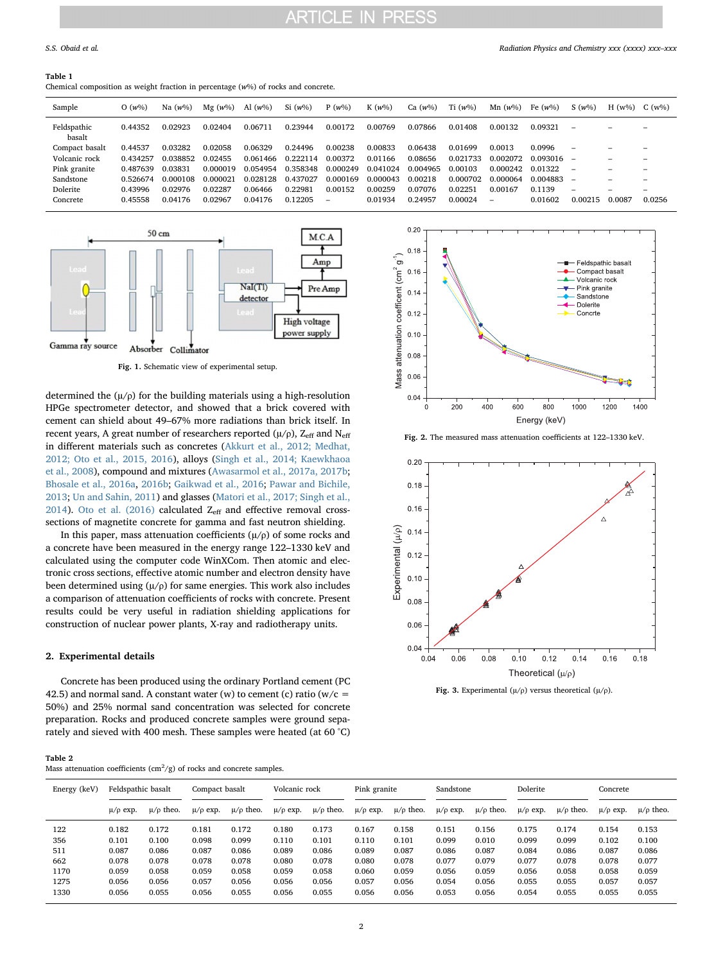### **ARTICLE IN PRESS**

#### Table 1

Chemical composition as weight fraction in percentage (w%) of rocks and concrete.

| Sample                | $O(w\%)$ | Na $(w\%)$ | $Mg(w\%)$ | Al $(w\%)$ | $Si(w\%)$ | $P(w\%)$ | K $(w\%)$ | Ca $(w\%)$ | Ti $(w\%)$ | $Mn(w\%)$ | Fe $(w\%)$   | $S(w\%)$                 | $H(w\%)$ | $C(w\%)$ |
|-----------------------|----------|------------|-----------|------------|-----------|----------|-----------|------------|------------|-----------|--------------|--------------------------|----------|----------|
| Feldspathic<br>basalt | 0.44352  | 0.02923    | 0.02404   | 0.06711    | 0.23944   | 0.00172  | 0.00769   | 0.07866    | 0.01408    | 0.00132   | 0.09321      | $\overline{\phantom{0}}$ |          |          |
| Compact basalt        | 0.44537  | 0.03282    | 0.02058   | 0.06329    | 0.24496   | 0.00238  | 0.00833   | 0.06438    | 0.01699    | 0.0013    | 0.0996       | $\overline{\phantom{a}}$ |          |          |
| Volcanic rock         | 0.434257 | 0.038852   | 0.02455   | 0.061466   | 0.222114  | 0.00372  | 0.01166   | 0.08656    | 0.021733   | 0.002072  | $0.093016 -$ |                          |          |          |
| Pink granite          | 0.487639 | 0.03831    | 0.000019  | 0.054954   | 0.358348  | 0.000249 | 0.041024  | 0.004965   | 0.00103    | 0.000242  | 0.01322      |                          |          |          |
| Sandstone             | 0.526674 | 0.000108   | 0.000021  | 0.028128   | 0.437027  | 0.000169 | 0.000043  | 0.00218    | 0.000702   | 0.000064  | 0.004883     |                          |          |          |
| Dolerite              | 0.43996  | 0.02976    | 0.02287   | 0.06466    | 0.22981   | 0.00152  | 0.00259   | 0.07076    | 0.02251    | 0.00167   | 0.1139       | -                        |          |          |
| Concrete              | 0.45558  | 0.04176    | 0.02967   | 0.04176    | 0.12205   | -        | 0.01934   | 0.24957    | 0.00024    |           | 0.01602      | 0.00215                  | 0.0087   | 0.0256   |
|                       |          |            |           |            |           |          |           |            |            |           |              |                          |          |          |



Fig. 1. Schematic view of experimental setup.

determined the  $(\mu/\rho)$  for the building materials using a high-resolution HPGe spectrometer detector, and showed that a brick covered with cement can shield about 49–67% more radiations than brick itself. In recent years, A great number of researchers reported  $(\mu/\rho)$ ,  $Z_{\text{eff}}$  and  $N_{\text{eff}}$ in different materials such as concretes [\(Akkurt et al., 2012; Medhat,](#page--1-10) [2012; Oto et al., 2015, 2016](#page--1-10)), alloys ([Singh et al., 2014; Kaewkhaoa](#page--1-11) [et al., 2008](#page--1-11)), compound and mixtures ([Awasarmol et al., 2017a, 2017b](#page--1-12); [Bhosale et al., 2016a,](#page--1-13) [2016b;](#page--1-14) [Gaikwad et al., 2016](#page--1-15); [Pawar and Bichile,](#page--1-16) [2013;](#page--1-16) [Un and Sahin, 2011\)](#page--1-17) and glasses [\(Matori et al., 2017; Singh et al.,](#page--1-18) [2014\)](#page--1-18). [Oto et al. \(2016\)](#page--1-19) calculated  $Z_{\text{eff}}$  and effective removal crosssections of magnetite concrete for gamma and fast neutron shielding.

In this paper, mass attenuation coefficients  $(\mu/\rho)$  of some rocks and a concrete have been measured in the energy range 122–1330 keV and calculated using the computer code WinXCom. Then atomic and electronic cross sections, effective atomic number and electron density have been determined using  $(\mu/\rho)$  for same energies. This work also includes a comparison of attenuation coefficients of rocks with concrete. Present results could be very useful in radiation shielding applications for construction of nuclear power plants, X-ray and radiotherapy units.

#### 2. Experimental details

Concrete has been produced using the ordinary Portland cement (PC 42.5) and normal sand. A constant water (w) to cement (c) ratio ( $w/c =$ 50%) and 25% normal sand concentration was selected for concrete preparation. Rocks and produced concrete samples were ground separately and sieved with 400 mesh. These samples were heated (at 60 °C)

| Table 2 |                                                                                         |  |
|---------|-----------------------------------------------------------------------------------------|--|
|         | Mass attenuation coefficients ( $\text{cm}^2/\text{g}$ ) of rocks and concrete samples. |  |



Fig. 2. The measured mass attenuation coefficients at 122–1330 keV.



Fig. 3. Experimental ( $\mu/\rho$ ) versus theoretical ( $\mu/\rho$ ).

| Energy (keV) | Feldspathic basalt |                  | Compact basalt  |                  | Volcanic rock   |                  | Pink granite    |                  | Sandstone       |                  | Dolerite        |                  | Concrete        |                  |
|--------------|--------------------|------------------|-----------------|------------------|-----------------|------------------|-----------------|------------------|-----------------|------------------|-----------------|------------------|-----------------|------------------|
|              | $\mu/\rho$ exp.    | $\mu/\rho$ theo. | $\mu/\rho$ exp. | $\mu/\rho$ theo. | $\mu/\rho$ exp. | $\mu/\rho$ theo. | $\mu/\rho$ exp. | $\mu/\rho$ theo. | $\mu/\rho$ exp. | $\mu/\rho$ theo. | $\mu/\rho$ exp. | $\mu/\rho$ theo. | $\mu/\rho$ exp. | $\mu/\rho$ theo. |
| 122          | 0.182              | 0.172            | 0.181           | 0.172            | 0.180           | 0.173            | 0.167           | 0.158            | 0.151           | 0.156            | 0.175           | 0.174            | 0.154           | 0.153            |
| 356          | 0.101              | 0.100            | 0.098           | 0.099            | 0.110           | 0.101            | 0.110           | 0.101            | 0.099           | 0.010            | 0.099           | 0.099            | 0.102           | 0.100            |
| 511          | 0.087              | 0.086            | 0.087           | 0.086            | 0.089           | 0.086            | 0.089           | 0.087            | 0.086           | 0.087            | 0.084           | 0.086            | 0.087           | 0.086            |
| 662          | 0.078              | 0.078            | 0.078           | 0.078            | 0.080           | 0.078            | 0.080           | 0.078            | 0.077           | 0.079            | 0.077           | 0.078            | 0.078           | 0.077            |
| 1170         | 0.059              | 0.058            | 0.059           | 0.058            | 0.059           | 0.058            | 0.060           | 0.059            | 0.056           | 0.059            | 0.056           | 0.058            | 0.058           | 0.059            |
| 1275         | 0.056              | 0.056            | 0.057           | 0.056            | 0.056           | 0.056            | 0.057           | 0.056            | 0.054           | 0.056            | 0.055           | 0.055            | 0.057           | 0.057            |
| 1330         | 0.056              | 0.055            | 0.056           | 0.055            | 0.056           | 0.055            | 0.056           | 0.056            | 0.053           | 0.056            | 0.054           | 0.055            | 0.055           | 0.055            |